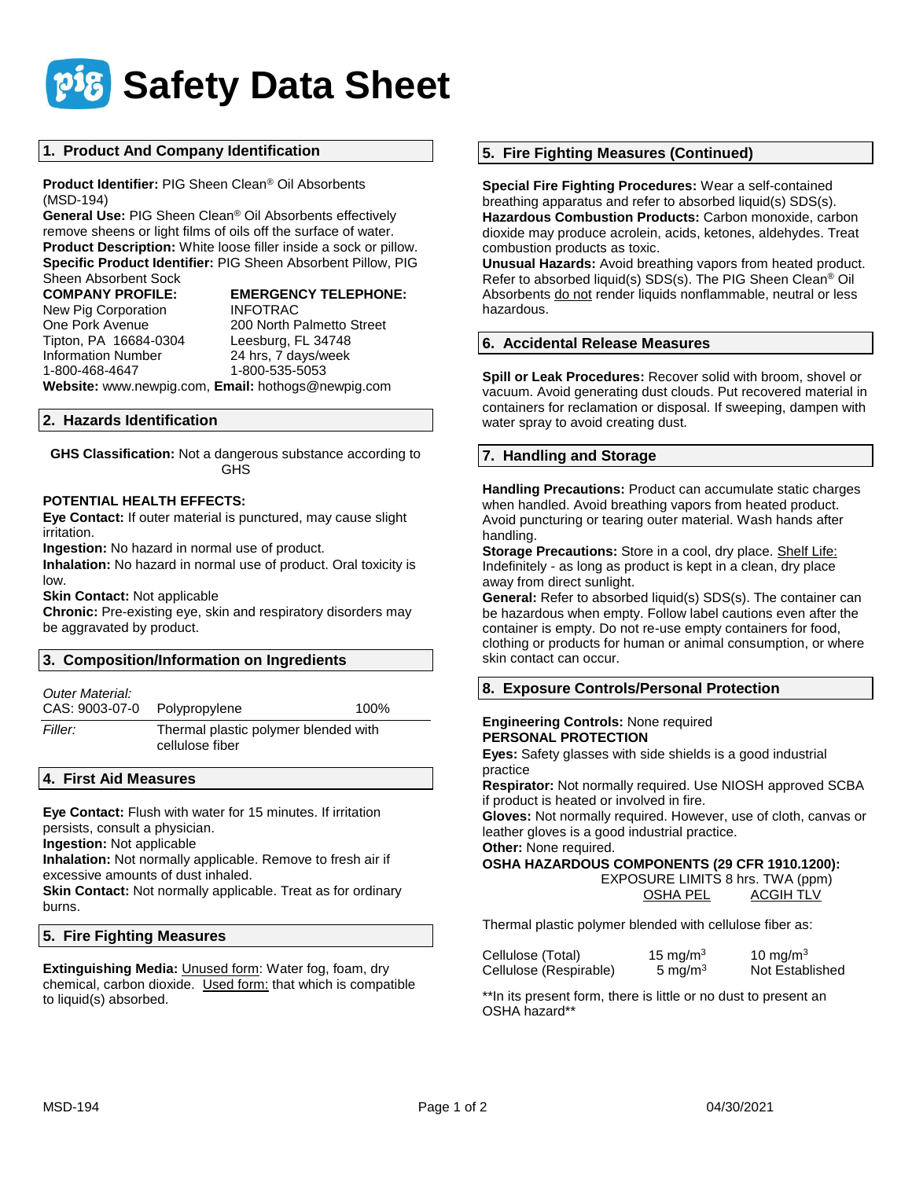

# **1. Product And Company Identification**

**Product Identifier:** PIG Sheen Clean® Oil Absorbents (MSD-194)

**General Use:** PIG Sheen Clean® Oil Absorbents effectively remove sheens or light films of oils off the surface of water. **Product Description:** White loose filler inside a sock or pillow. **Specific Product Identifier:** PIG Sheen Absorbent Pillow, PIG Sheen Absorbent Sock

New Pig Corporation **INFOTRAC** Tipton, PA 16684-0304 Leesburg, FL 34748 Information Number 24 hrs, 7 days/week

**COMPANY PROFILE: EMERGENCY TELEPHONE:** One Pork Avenue 200 North Palmetto Street

1-800-535-5053 **Website:** www.newpig.com, **Email:** hothogs@newpig.com

# **2. Hazards Identification**

**GHS Classification:** Not a dangerous substance according to GHS

### **POTENTIAL HEALTH EFFECTS:**

**Eye Contact:** If outer material is punctured, may cause slight irritation.

**Ingestion:** No hazard in normal use of product.

**Inhalation:** No hazard in normal use of product. Oral toxicity is low.

**Skin Contact:** Not applicable

**Chronic:** Pre-existing eye, skin and respiratory disorders may be aggravated by product.

| 3. Composition/Information on Ingredients |                                                         |      |  |
|-------------------------------------------|---------------------------------------------------------|------|--|
| Outer Material:<br>CAS: 9003-07-0         | Polypropylene                                           | 100% |  |
| Filler:                                   | Thermal plastic polymer blended with<br>cellulose fiber |      |  |

# **4. First Aid Measures**

**Eye Contact:** Flush with water for 15 minutes. If irritation persists, consult a physician. **Ingestion:** Not applicable

**Inhalation:** Not normally applicable. Remove to fresh air if excessive amounts of dust inhaled.

**Skin Contact:** Not normally applicable. Treat as for ordinary burns.

# **5. Fire Fighting Measures**

**Extinguishing Media:** Unused form: Water fog, foam, dry chemical, carbon dioxide. Used form: that which is compatible to liquid(s) absorbed.

# **5. Fire Fighting Measures (Continued)**

**Special Fire Fighting Procedures:** Wear a self-contained breathing apparatus and refer to absorbed liquid(s) SDS(s). **Hazardous Combustion Products:** Carbon monoxide, carbon dioxide may produce acrolein, acids, ketones, aldehydes. Treat combustion products as toxic.

**Unusual Hazards:** Avoid breathing vapors from heated product. Refer to absorbed liquid(s) SDS(s). The PIG Sheen Clean® Oil Absorbents do not render liquids nonflammable, neutral or less hazardous.

#### **6. Accidental Release Measures**

**Spill or Leak Procedures:** Recover solid with broom, shovel or vacuum. Avoid generating dust clouds. Put recovered material in containers for reclamation or disposal. If sweeping, dampen with water spray to avoid creating dust.

# **7. Handling and Storage**

**Handling Precautions:** Product can accumulate static charges when handled. Avoid breathing vapors from heated product. Avoid puncturing or tearing outer material. Wash hands after handling.

**Storage Precautions:** Store in a cool, dry place. Shelf Life: Indefinitely - as long as product is kept in a clean, dry place away from direct sunlight.

**General:** Refer to absorbed liquid(s) SDS(s). The container can be hazardous when empty. Follow label cautions even after the container is empty. Do not re-use empty containers for food, clothing or products for human or animal consumption, or where skin contact can occur.

# **8. Exposure Controls/Personal Protection**

# **Engineering Controls:** None required **PERSONAL PROTECTION**

**Eyes:** Safety glasses with side shields is a good industrial practice

**Respirator:** Not normally required. Use NIOSH approved SCBA if product is heated or involved in fire.

**Gloves:** Not normally required. However, use of cloth, canvas or leather gloves is a good industrial practice.

**Other:** None required.

#### **OSHA HAZARDOUS COMPONENTS (29 CFR 1910.1200):**

 EXPOSURE LIMITS 8 hrs. TWA (ppm) OSHA PEL ACGIH TLV

Thermal plastic polymer blended with cellulose fiber as:

| Cellulose (Total)      | 15 mg/m $3$ | 10 mg/m $3$     |
|------------------------|-------------|-----------------|
| Cellulose (Respirable) | 5 mg/m $3$  | Not Established |

\*\*In its present form, there is little or no dust to present an OSHA hazard\*\*